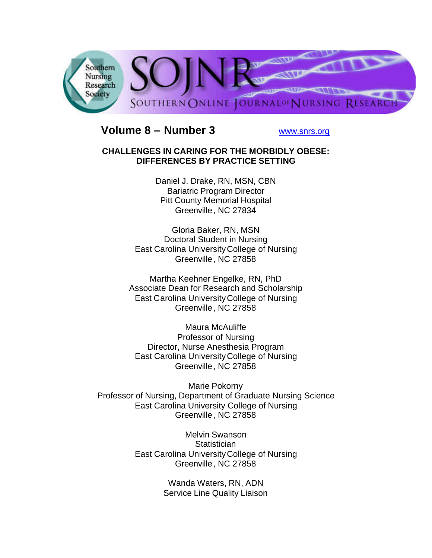

# **Volume 8 – Number 3** www.snrs.org

#### **CHALLENGES IN CARING FOR THE MORBIDLY OBESE: DIFFERENCES BY PRACTICE SETTING**

Daniel J. Drake, RN, MSN, CBN Bariatric Program Director Pitt County Memorial Hospital Greenville, NC 27834

Gloria Baker, RN, MSN Doctoral Student in Nursing East Carolina UniversityCollege of Nursing Greenville, NC 27858

Martha Keehner Engelke, RN, PhD Associate Dean for Research and Scholarship East Carolina UniversityCollege of Nursing Greenville, NC 27858

Maura McAuliffe Professor of Nursing Director, Nurse Anesthesia Program East Carolina UniversityCollege of Nursing Greenville, NC 27858

Marie Pokorny Professor of Nursing, Department of Graduate Nursing Science East Carolina University College of Nursing Greenville, NC 27858

> Melvin Swanson **Statistician** East Carolina UniversityCollege of Nursing Greenville, NC 27858

> > Wanda Waters, RN, ADN Service Line Quality Liaison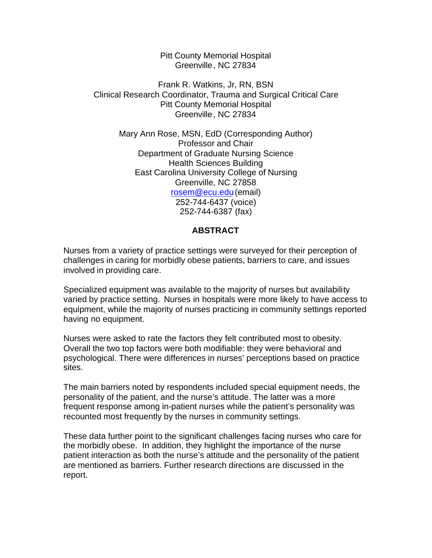Pitt County Memorial Hospital Greenville, NC 27834

Frank R. Watkins, Jr, RN, BSN Clinical Research Coordinator, Trauma and Surgical Critical Care Pitt County Memorial Hospital Greenville, NC 27834

Mary Ann Rose, MSN, EdD (Corresponding Author) Professor and Chair Department of Graduate Nursing Science Health Sciences Building East Carolina University College of Nursing Greenville, NC 27858 rosem@ecu.edu(email) 252-744-6437 (voice) 252-744-6387 (fax)

## **ABSTRACT**

Nurses from a variety of practice settings were surveyed for their perception of challenges in caring for morbidly obese patients, barriers to care, and issues involved in providing care.

Specialized equipment was available to the majority of nurses but availability varied by practice setting. Nurses in hospitals were more likely to have access to equipment, while the majority of nurses practicing in community settings reported having no equipment.

Nurses were asked to rate the factors they felt contributed most to obesity. Overall the two top factors were both modifiable: they were behavioral and psychological. There were differences in nurses' perceptions based on practice sites.

The main barriers noted by respondents included special equipment needs, the personality of the patient, and the nurse's attitude. The latter was a more frequent response among in-patient nurses while the patient's personality was recounted most frequently by the nurses in community settings.

These data further point to the significant challenges facing nurses who care for the morbidly obese. In addition, they highlight the importance of the nurse patient interaction as both the nurse's attitude and the personality of the patient are mentioned as barriers. Further research directions are discussed in the report.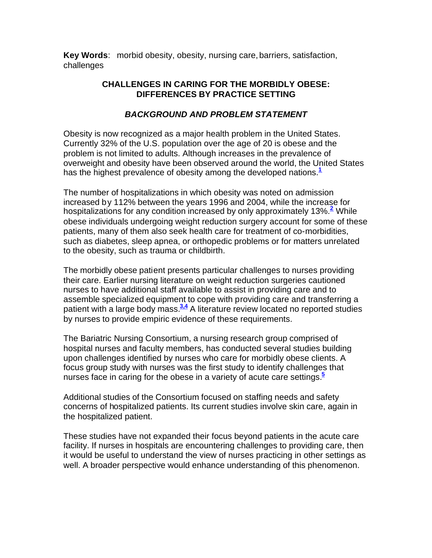**Key Words**: morbid obesity, obesity, nursing care,barriers, satisfaction, challenges

# **CHALLENGES IN CARING FOR THE MORBIDLY OBESE: DIFFERENCES BY PRACTICE SETTING**

# *BACKGROUND AND PROBLEM STATEMENT*

Obesity is now recognized as a major health problem in the United States. Currently 32% of the U.S. population over the age of 20 is obese and the problem is not limited to adults. Although increases in the prevalence of overweight and obesity have been observed around the world, the United States has the highest prevalence of obesity among the developed nations.**<sup>1</sup>**

The number of hospitalizations in which obesity was noted on admission increased by 112% between the years 1996 and 2004, while the increase for hospitalizations for any condition increased by only approximately 13%.<sup>2</sup> While obese individuals undergoing weight reduction surgery account for some of these patients, many of them also seek health care for treatment of co-morbidities, such as diabetes, sleep apnea, or orthopedic problems or for matters unrelated to the obesity, such as trauma or childbirth.

The morbidly obese patient presents particular challenges to nurses providing their care. Earlier nursing literature on weight reduction surgeries cautioned nurses to have additional staff available to assist in providing care and to assemble specialized equipment to cope with providing care and transferring a patient with a large body mass.<sup>34</sup> A literature review located no reported studies by nurses to provide empiric evidence of these requirements.

The Bariatric Nursing Consortium, a nursing research group comprised of hospital nurses and faculty members, has conducted several studies building upon challenges identified by nurses who care for morbidly obese clients. A focus group study with nurses was the first study to identify challenges that nurses face in caring for the obese in a variety of acute care settings.**<sup>5</sup>**

Additional studies of the Consortium focused on staffing needs and safety concerns of hospitalized patients. Its current studies involve skin care, again in the hospitalized patient.

These studies have not expanded their focus beyond patients in the acute care facility. If nurses in hospitals are encountering challenges to providing care, then it would be useful to understand the view of nurses practicing in other settings as well. A broader perspective would enhance understanding of this phenomenon.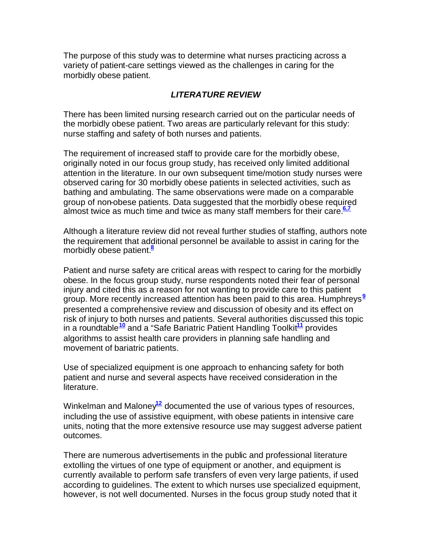The purpose of this study was to determine what nurses practicing across a variety of patient-care settings viewed as the challenges in caring for the morbidly obese patient.

# *LITERATURE REVIEW*

There has been limited nursing research carried out on the particular needs of the morbidly obese patient. Two areas are particularly relevant for this study: nurse staffing and safety of both nurses and patients.

The requirement of increased staff to provide care for the morbidly obese, originally noted in our focus group study, has received only limited additional attention in the literature. In our own subsequent time/motion study nurses were observed caring for 30 morbidly obese patients in selected activities, such as bathing and ambulating. The same observations were made on a comparable group of non-obese patients. Data suggested that the morbidly obese required almost twice as much time and twice as many staff members for their care.**6,7**

Although a literature review did not reveal further studies of staffing, authors note the requirement that additional personnel be available to assist in caring for the morbidly obese patient.**<sup>8</sup>**

Patient and nurse safety are critical areas with respect to caring for the morbidly obese. In the focus group study, nurse respondents noted their fear of personal injury and cited this as a reason for not wanting to provide care to this patient group. More recently increased attention has been paid to this area. Humphreys**<sup>9</sup>** presented a comprehensive review and discussion of obesity and its effect on risk of injury to both nurses and patients. Several authorities discussed this topic in a roundtable**<sup>10</sup>** and a "Safe Bariatric Patient Handling Toolkit**<sup>11</sup>** provides algorithms to assist health care providers in planning safe handling and movement of bariatric patients.

Use of specialized equipment is one approach to enhancing safety for both patient and nurse and several aspects have received consideration in the literature.

Winkelman and Maloney<sup>12</sup> documented the use of various types of resources, including the use of assistive equipment, with obese patients in intensive care units, noting that the more extensive resource use may suggest adverse patient outcomes.

There are numerous advertisements in the public and professional literature extolling the virtues of one type of equipment or another, and equipment is currently available to perform safe transfers of even very large patients, if used according to guidelines. The extent to which nurses use specialized equipment, however, is not well documented. Nurses in the focus group study noted that it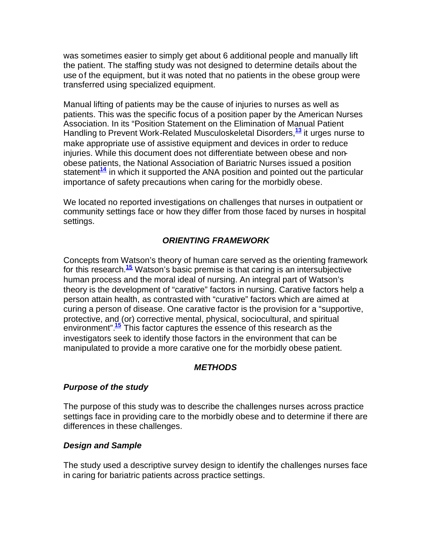was sometimes easier to simply get about 6 additional people and manually lift the patient. The staffing study was not designed to determine details about the use of the equipment, but it was noted that no patients in the obese group were transferred using specialized equipment.

Manual lifting of patients may be the cause of injuries to nurses as well as patients. This was the specific focus of a position paper by the American Nurses Association. In its "Position Statement on the Elimination of Manual Patient Handling to Prevent Work-Related Musculoskeletal Disorders,**<sup>13</sup>** it urges nurse to make appropriate use of assistive equipment and devices in order to reduce injuries. While this document does not differentiate between obese and nonobese patients, the National Association of Bariatric Nurses issued a position statement**<sup>14</sup>** in which it supported the ANA position and pointed out the particular importance of safety precautions when caring for the morbidly obese.

We located no reported investigations on challenges that nurses in outpatient or community settings face or how they differ from those faced by nurses in hospital settings.

# *ORIENTING FRAMEWORK*

Concepts from Watson's theory of human care served as the orienting framework for this research.**<sup>15</sup>** Watson's basic premise is that caring is an intersubjective human process and the moral ideal of nursing. An integral part of Watson's theory is the development of "carative" factors in nursing. Carative factors help a person attain health, as contrasted with "curative" factors which are aimed at curing a person of disease. One carative factor is the provision for a "supportive, protective, and (or) corrective mental, physical, sociocultural, and spiritual environment".**<sup>15</sup>** This factor captures the essence of this research as the investigators seek to identify those factors in the environment that can be manipulated to provide a more carative one for the morbidly obese patient.

# *METHODS*

#### *Purpose of the study*

The purpose of this study was to describe the challenges nurses across practice settings face in providing care to the morbidly obese and to determine if there are differences in these challenges.

#### *Design and Sample*

The study used a descriptive survey design to identify the challenges nurses face in caring for bariatric patients across practice settings.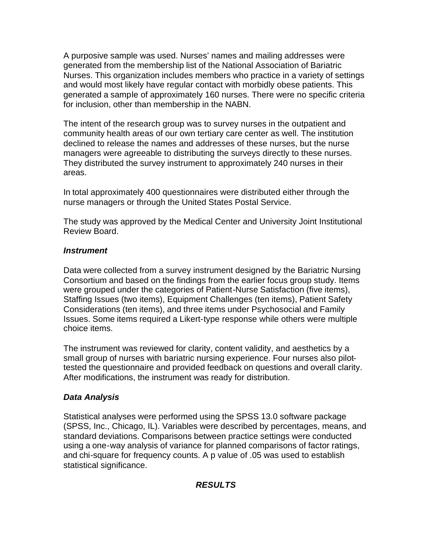A purposive sample was used. Nurses' names and mailing addresses were generated from the membership list of the National Association of Bariatric Nurses. This organization includes members who practice in a variety of settings and would most likely have regular contact with morbidly obese patients. This generated a sample of approximately 160 nurses. There were no specific criteria for inclusion, other than membership in the NABN.

The intent of the research group was to survey nurses in the outpatient and community health areas of our own tertiary care center as well. The institution declined to release the names and addresses of these nurses, but the nurse managers were agreeable to distributing the surveys directly to these nurses. They distributed the survey instrument to approximately 240 nurses in their areas.

In total approximately 400 questionnaires were distributed either through the nurse managers or through the United States Postal Service.

The study was approved by the Medical Center and University Joint Institutional Review Board.

#### *Instrument*

Data were collected from a survey instrument designed by the Bariatric Nursing Consortium and based on the findings from the earlier focus group study. Items were grouped under the categories of Patient-Nurse Satisfaction (five items), Staffing Issues (two items), Equipment Challenges (ten items), Patient Safety Considerations (ten items), and three items under Psychosocial and Family Issues. Some items required a Likert-type response while others were multiple choice items.

The instrument was reviewed for clarity, content validity, and aesthetics by a small group of nurses with bariatric nursing experience. Four nurses also pilottested the questionnaire and provided feedback on questions and overall clarity. After modifications, the instrument was ready for distribution.

# *Data Analysis*

Statistical analyses were performed using the SPSS 13.0 software package (SPSS, Inc., Chicago, IL). Variables were described by percentages, means, and standard deviations. Comparisons between practice settings were conducted using a one-way analysis of variance for planned comparisons of factor ratings, and chi-square for frequency counts. A p value of .05 was used to establish statistical significance.

# *RESULTS*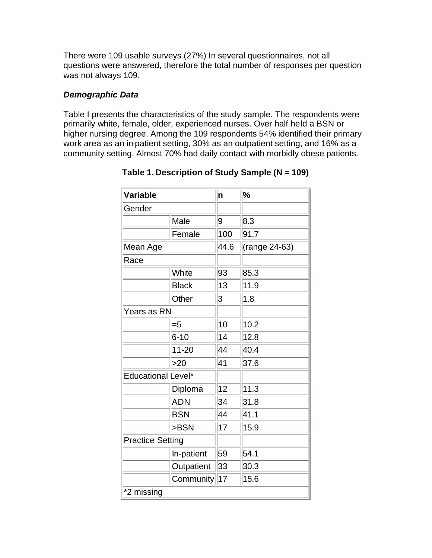There were 109 usable surveys (27%) In several questionnaires, not all questions were answered, therefore the total number of responses per question was not always 109.

## *Demographic Data*

Table I presents the characteristics of the study sample. The respondents were primarily white, female, older, experienced nurses. Over half held a BSN or higher nursing degree. Among the 109 respondents 54% identified their primary work area as an in-patient setting, 30% as an outpatient setting, and 16% as a community setting. Almost 70% had daily contact with morbidly obese patients.

| Variable                |              | n    | $\%$          |  |  |
|-------------------------|--------------|------|---------------|--|--|
| Gender                  |              |      |               |  |  |
|                         | Male         | 9    | 8.3           |  |  |
|                         | Female       | 100  | 91.7          |  |  |
| Mean Age                |              | 44.6 | (range 24-63) |  |  |
| Race                    |              |      |               |  |  |
|                         | White        | 93   | 85.3          |  |  |
|                         | <b>Black</b> | 13   | 11.9          |  |  |
|                         | Other        | 3    | 1.8           |  |  |
| Years as RN             |              |      |               |  |  |
|                         | $= 5$        | 10   | 10.2          |  |  |
|                         | $6 - 10$     | 14   | 12.8          |  |  |
|                         | $11 - 20$    | 44   | 40.4          |  |  |
|                         | >20          | 41   | 37.6          |  |  |
| Educational Level*      |              |      |               |  |  |
|                         | Diploma      | 12   | 11.3          |  |  |
|                         | <b>ADN</b>   | 34   | 31.8          |  |  |
|                         | <b>BSN</b>   | 44   | 41.1          |  |  |
|                         | >BSN         | 17   | 15.9          |  |  |
| <b>Practice Setting</b> |              |      |               |  |  |
|                         | In-patient   | 59   | 54.1          |  |  |
|                         | Outpatient   | 33   | 30.3          |  |  |
|                         | Community    | 17   | 15.6          |  |  |
| *2 missing              |              |      |               |  |  |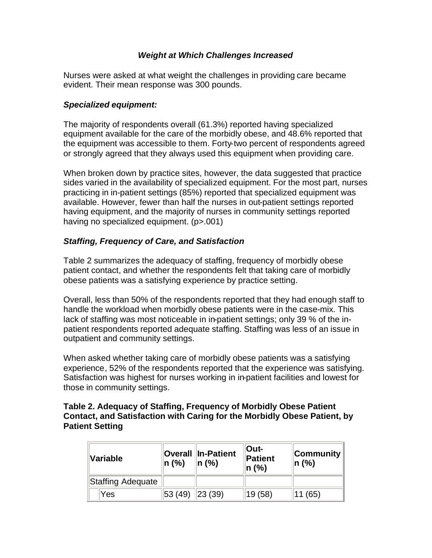## *Weight at Which Challenges Increased*

Nurses were asked at what weight the challenges in providing care became evident. Their mean response was 300 pounds.

#### *Specialized equipment:*

The majority of respondents overall (61.3%) reported having specialized equipment available for the care of the morbidly obese, and 48.6% reported that the equipment was accessible to them. Forty-two percent of respondents agreed or strongly agreed that they always used this equipment when providing care.

When broken down by practice sites, however, the data suggested that practice sides varied in the availability of specialized equipment. For the most part, nurses practicing in in-patient settings (85%) reported that specialized equipment was available. However, fewer than half the nurses in out-patient settings reported having equipment, and the majority of nurses in community settings reported having no specialized equipment. (p>.001)

# *Staffing, Frequency of Care, and Satisfaction*

Table 2 summarizes the adequacy of staffing, frequency of morbidly obese patient contact, and whether the respondents felt that taking care of morbidly obese patients was a satisfying experience by practice setting.

Overall, less than 50% of the respondents reported that they had enough staff to handle the workload when morbidly obese patients were in the case-mix. This lack of staffing was most noticeable in in-patient settings; only 39 % of the inpatient respondents reported adequate staffing. Staffing was less of an issue in outpatient and community settings.

When asked whether taking care of morbidly obese patients was a satisfying experience, 52% of the respondents reported that the experience was satisfying. Satisfaction was highest for nurses working in in-patient facilities and lowest for those in community settings.

#### **Table 2. Adequacy of Staffing, Frequency of Morbidly Obese Patient Contact, and Satisfaction with Caring for the Morbidly Obese Patient, by Patient Setting**

| <b>Variable</b>   | $\ln($ %) | <b>Overall In-Patient</b><br>$\ln($ %) | $Out-$<br>Patient<br>$n(\%)$ | <b>Community</b><br>$\ln($ %) |
|-------------------|-----------|----------------------------------------|------------------------------|-------------------------------|
| Staffing Adequate |           |                                        |                              |                               |
| Yes               | 53 (49)   | $\ 23(39)\ $                           | 19 (58)                      | (65)                          |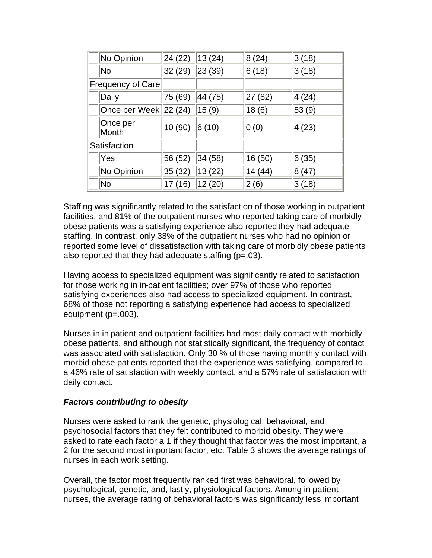|                          | No Opinion            | 24 (22) | 13(24)  | 8(24)   | 3(18)  |
|--------------------------|-----------------------|---------|---------|---------|--------|
|                          | No                    | 32(29)  | 23(39)  | 6(18)   | 3(18)  |
| <b>Frequency of Care</b> |                       |         |         |         |        |
|                          | Daily                 | 75(69)  | 44 (75) | 27 (82) | 4 (24) |
|                          | Once per Week 22 (24) |         | 15(9)   | 18(6)   | 53(9)  |
|                          | Once per<br>Month     | 10 (90) | 6(10)   | 0(0)    | 4(23)  |
| Satisfaction             |                       |         |         |         |        |
|                          | Yes                   | 56(52)  | 34(58)  | 16 (50) | 6(35)  |
|                          | No Opinion            | 35(32)  | 13(22)  | 14 (44) | 8(47)  |
|                          | No                    | 17(16)  | 12 (20) | 2(6)    | 3(18)  |

Staffing was significantly related to the satisfaction of those working in outpatient facilities, and 81% of the outpatient nurses who reported taking care of morbidly obese patients was a satisfying experience also reported they had adequate staffing. In contrast, only 38% of the outpatient nurses who had no opinion or reported some level of dissatisfaction with taking care of morbidly obese patients also reported that they had adequate staffing  $(p=.03)$ .

Having access to specialized equipment was significantly related to satisfaction for those working in in-patient facilities; over 97% of those who reported satisfying experiences also had access to specialized equipment. In contrast, 68% of those not reporting a satisfying experience had access to specialized equipment (p=.003).

Nurses in in-patient and outpatient facilities had most daily contact with morbidly obese patients, and although not statistically significant, the frequency of contact was associated with satisfaction. Only 30 % of those having monthly contact with morbid obese patients reported that the experience was satisfying, compared to a 46% rate of satisfaction with weekly contact, and a 57% rate of satisfaction with daily contact.

#### *Factors contributing to obesity*

Nurses were asked to rank the genetic, physiological, behavioral, and psychosocial factors that they felt contributed to morbid obesity. They were asked to rate each factor a 1 if they thought that factor was the most important, a 2 for the second most important factor, etc. Table 3 shows the average ratings of nurses in each work setting.

Overall, the factor most frequently ranked first was behavioral, followed by psychological, genetic, and, lastly, physiological factors. Among in-patient nurses, the average rating of behavioral factors was significantly less important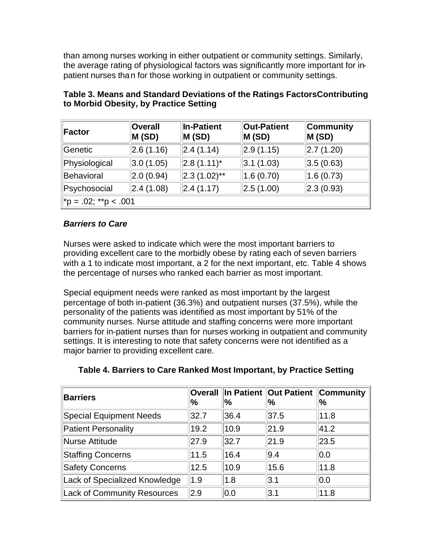than among nurses working in either outpatient or community settings. Similarly, the average rating of physiological factors was significantly more important for inpatient nurses than for those working in outpatient or community settings.

| Factor                   | <b>Overall</b><br>M(SD) | In-Patient<br>M(SD) | <b>Out-Patient</b><br>M(SD) | Community<br>M(SD)      |  |
|--------------------------|-------------------------|---------------------|-----------------------------|-------------------------|--|
| Genetic                  | 2.6(1.16)               | $\vert$ 2.4 (1.14)  | 2.9(1.15)                   | $\vert 2.7(1.20) \vert$ |  |
| Physiological            | 3.0(1.05)               | $ 2.8(1.11)^*$      | $ 3.1 \, (1.03)$            | 3.5(0.63)               |  |
| Behavioral               | 2.0(0.94)               | $ 2.3(1.02)$ **     | 1.6(0.70)                   | 1.6(0.73)               |  |
| Psychosocial             | 2.4(1.08)               | $\vert$ 2.4 (1.17)  | 2.5(1.00)                   | $\vert$ 2.3 (0.93)      |  |
| $ $ *p = .02; **p < .001 |                         |                     |                             |                         |  |

| Table 3. Means and Standard Deviations of the Ratings Factors Contributing |  |
|----------------------------------------------------------------------------|--|
| to Morbid Obesity, by Practice Setting                                     |  |

## *Barriers to Care*

Nurses were asked to indicate which were the most important barriers to providing excellent care to the morbidly obese by rating each of seven barriers with a 1 to indicate most important, a 2 for the next important, etc. Table 4 shows the percentage of nurses who ranked each barrier as most important.

Special equipment needs were ranked as most important by the largest percentage of both in-patient (36.3%) and outpatient nurses (37.5%), while the personality of the patients was identified as most important by 51% of the community nurses. Nurse attitude and staffing concerns were more important barriers for in-patient nurses than for nurses working in outpatient and community settings. It is interesting to note that safety concerns were not identified as a major barrier to providing excellent care.

| <b>Barriers</b>                | Overall<br>'% | '%   | In Patient   Out Patient   Community<br>% | %    |
|--------------------------------|---------------|------|-------------------------------------------|------|
| <b>Special Equipment Needs</b> | 32.7          | 36.4 | 37.5                                      | 11.8 |
| <b>Patient Personality</b>     | 19.2          | 10.9 | 21.9                                      | 41.2 |
| Nurse Attitude                 | 27.9          | 32.7 | 21.9                                      | 23.5 |
| <b>Staffing Concerns</b>       | 11.5          | 16.4 | 9.4                                       | 0.0  |
| <b>Safety Concerns</b>         | 12.5          | 10.9 | 15.6                                      | 11.8 |
| Lack of Specialized Knowledge  | 1.9           | 1.8  | 3.1                                       | 0.0  |
| Lack of Community Resources    | 2.9           | 0.0  | 3.1                                       | 11.8 |

# **Table 4. Barriers to Care Ranked Most Important, by Practice Setting**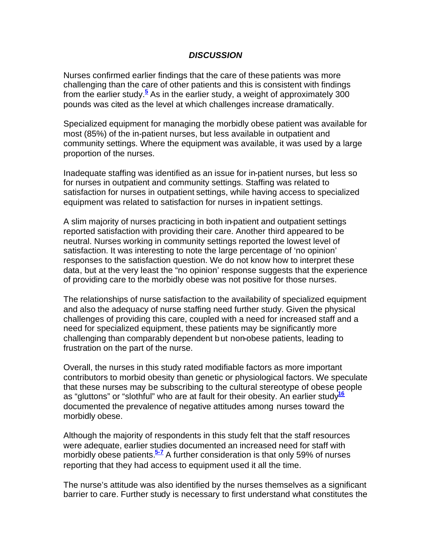#### *DISCUSSION*

Nurses confirmed earlier findings that the care of these patients was more challenging than the care of other patients and this is consistent with findings from the earlier study.**<sup>5</sup>** As in the earlier study, a weight of approximately 300 pounds was cited as the level at which challenges increase dramatically.

Specialized equipment for managing the morbidly obese patient was available for most (85%) of the in-patient nurses, but less available in outpatient and community settings. Where the equipment was available, it was used by a large proportion of the nurses.

Inadequate staffing was identified as an issue for in-patient nurses, but less so for nurses in outpatient and community settings. Staffing was related to satisfaction for nurses in outpatient settings, while having access to specialized equipment was related to satisfaction for nurses in in-patient settings.

A slim majority of nurses practicing in both in-patient and outpatient settings reported satisfaction with providing their care. Another third appeared to be neutral. Nurses working in community settings reported the lowest level of satisfaction. It was interesting to note the large percentage of 'no opinion' responses to the satisfaction question. We do not know how to interpret these data, but at the very least the "no opinion' response suggests that the experience of providing care to the morbidly obese was not positive for those nurses.

The relationships of nurse satisfaction to the availability of specialized equipment and also the adequacy of nurse staffing need further study. Given the physical challenges of providing this care, coupled with a need for increased staff and a need for specialized equipment, these patients may be significantly more challenging than comparably dependent but non-obese patients, leading to frustration on the part of the nurse.

Overall, the nurses in this study rated modifiable factors as more important contributors to morbid obesity than genetic or physiological factors. We speculate that these nurses may be subscribing to the cultural stereotype of obese people as "gluttons" or "slothful" who are at fault for their obesity. An earlier study**<sup>16</sup>** documented the prevalence of negative attitudes among nurses toward the morbidly obese.

Although the majority of respondents in this study felt that the staff resources were adequate, earlier studies documented an increased need for staff with morbidly obese patients.**5-7** A further consideration is that only 59% of nurses reporting that they had access to equipment used it all the time.

The nurse's attitude was also identified by the nurses themselves as a significant barrier to care. Further study is necessary to first understand what constitutes the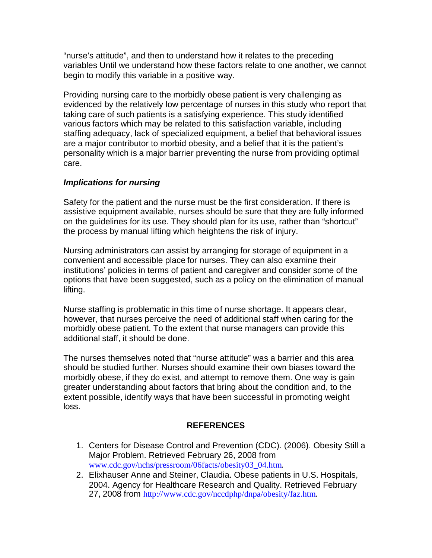"nurse's attitude", and then to understand how it relates to the preceding variables Until we understand how these factors relate to one another, we cannot begin to modify this variable in a positive way.

Providing nursing care to the morbidly obese patient is very challenging as evidenced by the relatively low percentage of nurses in this study who report that taking care of such patients is a satisfying experience. This study identified various factors which may be related to this satisfaction variable, including staffing adequacy, lack of specialized equipment, a belief that behavioral issues are a major contributor to morbid obesity, and a belief that it is the patient's personality which is a major barrier preventing the nurse from providing optimal care.

## *Implications for nursing*

Safety for the patient and the nurse must be the first consideration. If there is assistive equipment available, nurses should be sure that they are fully informed on the guidelines for its use. They should plan for its use, rather than "shortcut" the process by manual lifting which heightens the risk of injury.

Nursing administrators can assist by arranging for storage of equipment in a convenient and accessible place for nurses. They can also examine their institutions' policies in terms of patient and caregiver and consider some of the options that have been suggested, such as a policy on the elimination of manual lifting.

Nurse staffing is problematic in this time of nurse shortage. It appears clear, however, that nurses perceive the need of additional staff when caring for the morbidly obese patient. To the extent that nurse managers can provide this additional staff, it should be done.

The nurses themselves noted that "nurse attitude" was a barrier and this area should be studied further. Nurses should examine their own biases toward the morbidly obese, if they do exist, and attempt to remove them. One way is gain greater understanding about factors that bring about the condition and, to the extent possible, identify ways that have been successful in promoting weight loss.

# **REFERENCES**

- 1. Centers for Disease Control and Prevention (CDC). (2006). Obesity Still a Major Problem. Retrieved February 26, 2008 from www.cdc.gov/nchs/pressroom/06facts/obesity03\_04.htm.
- 2. Elixhauser Anne and Steiner, Claudia. Obese patients in U.S. Hospitals, 2004. Agency for Healthcare Research and Quality. Retrieved February 27, 2008 from http://www.cdc.gov/nccdphp/dnpa/obesity/faz.htm.